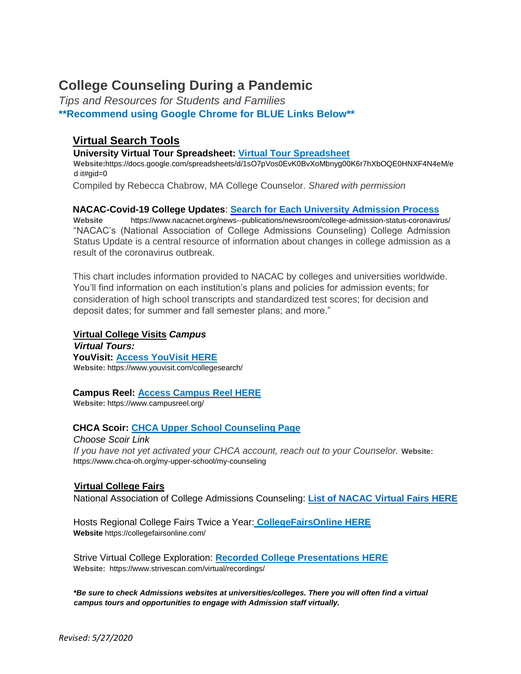# **College Counseling During a Pandemic**

*Tips and Resources for Students and Families* **\*\*Recommend using Google Chrome for BLUE Links Below\*\*** 

# **Virtual Search Tools**

**University Virtual Tour Spreadsheet: [Virtual Tour Spreadsheet](https://docs.google.com/spreadsheets/d/1sO7pVos0EvK0BvXoMbnyg00K6r7hXbOQE0HNXF4N4eM/edit#gid=0)**

**Websit[e:](https://docs.google.com/spreadsheets/d/1sO7pVos0EvK0BvXoMbnyg00K6r7hXbOQE0HNXF4N4eM/edit#gid=0)**[https://docs.google.com/spreadsheets/d/1sO7pVos0EvK0BvXoMbnyg00K6r7hXbOQE0HNXF4N4eM/e](https://docs.google.com/spreadsheets/d/1sO7pVos0EvK0BvXoMbnyg00K6r7hXbOQE0HNXF4N4eM/edit#gid=0) [d it#gid=0](https://docs.google.com/spreadsheets/d/1sO7pVos0EvK0BvXoMbnyg00K6r7hXbOQE0HNXF4N4eM/edit#gid=0)

Compiled by Rebecca Chabrow, MA College Counselor. *Shared with permission* 

## **NACAC-Covid-19 College Updates**[:](https://www.nacacnet.org/news--publications/newsroom/college-admission-status-coronavirus/) **[Search for Each University Admission](https://www.nacacnet.org/news--publications/newsroom/college-admission-status-coronavirus/) [Process](https://www.nacacnet.org/news--publications/newsroom/college-admission-status-coronavirus/)**

**Website** <https://www.nacacnet.org/news--publications/newsroom/college-admission-status-coronavirus/> "NACAC's (National Association of College Admissions Counseling) College Admission Status Update is a central resource of information about changes in college admission as a result of the coronavirus outbreak.

This chart includes information provided to NACAC by colleges and universities worldwide. You'll find information on each institution's plans and policies for admission events; for consideration of high school transcripts and standardized test scores; for decision and deposit dates; for summer and fall semester plans; and more."

#### **Virtual College Visits** *Campus*

*Virtual Tours:*  **YouVisit: [Access YouVisit HERE](https://www.youvisit.com/collegesearch/) Website:** <https://www.youvisit.com/collegesearch/>

#### **Campus Reel[:](https://www.campusreel.org/) [Access Campus Reel HERE](https://www.campusreel.org/)**

**Website:** <https://www.campusreel.org/>

## **CHCA Scoir[:](https://www.chca-oh.org/my-upper-school/my-counseling) [CHCA Upper School Counseling Page](https://www.chca-oh.org/my-upper-school/my-counseling)**

*Choose Scoir Link* If you have not yet activated your CHCA account, reach out to your Counselor. Website[:](https://www.chca-oh.org/my-upper-school/my-counseling) <https://www.chca-oh.org/my-upper-school/my-counseling>

## **Virtual College Fairs**

National Association of College Admissions Counseling: **[List of NACAC Virtual Fairs HERE](http://www.virtualcollegefairs.org/)**

Hosts Regional College Fairs Twice a Year[:](https://collegefairsonline.com/) **[CollegeFairsOnline](https://collegefairsonline.com/) [HERE](https://collegefairsonline.com/) Website** <https://collegefairsonline.com/>

Strive Virtual College Exploration[:](https://www.strivescan.com/virtual/recordings/) **[Recorded College Presentations HERE](https://www.strivescan.com/virtual/recordings/) Website:**<https://www.strivescan.com/virtual/recordings/>

*\*Be sure to check Admissions websites at universities/colleges. There you will often find a virtual campus tours and opportunities to engage with Admission staff virtually.*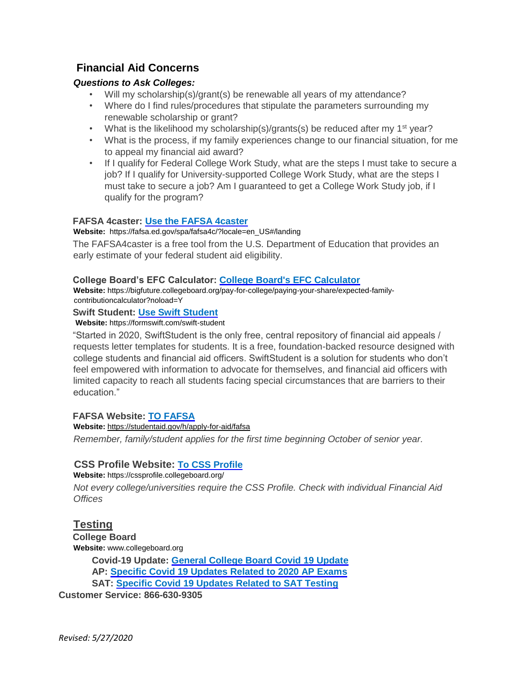# **Financial Aid Concerns**

## *Questions to Ask Colleges:*

- Will my scholarship(s)/grant(s) be renewable all years of my attendance?
- Where do I find rules/procedures that stipulate the parameters surrounding my renewable scholarship or grant?
- What is the likelihood my scholarship(s)/grants(s) be reduced after my 1<sup>st</sup> year?
- What is the process, if my family experiences change to our financial situation, for me to appeal my financial aid award?
- If I qualify for Federal College Work Study, what are the steps I must take to secure a job? If I qualify for University-supported College Work Study, what are the steps I must take to secure a job? Am I guaranteed to get a College Work Study job, if I qualify for the program?

## **FAFSA 4caster: [Use the FAFSA 4caster](https://fafsa.ed.gov/spa/fafsa4c/?locale=en_US#/landing)**

#### **Website[:](https://fafsa.ed.gov/spa/fafsa4c/?locale=en_US#/landing)** [https://fafsa.ed.gov/spa/fafsa4c/?locale=en\\_US#/landing](https://fafsa.ed.gov/spa/fafsa4c/?locale=en_US#/landing)

The FAFSA4caster is a free tool from the U.S. Department of Education that provides an early estimate of your federal student aid eligibility.

#### **College Board's EFC Calculator: [College Board's EFC Calculator](https://bigfuture.collegeboard.org/pay-for-college/paying-your-share/expected-family-contribution-calculator?noload=Y)**

**Website:** [https://bigfuture.collegeboard.org/pay-for-college/paying-your-share/expected-family](https://bigfuture.collegeboard.org/pay-for-college/paying-your-share/expected-family-contribution-calculator?noload=Y)[contributioncalculator?noload=Y](https://bigfuture.collegeboard.org/pay-for-college/paying-your-share/expected-family-contribution-calculator?noload=Y)

#### **Swift Student[:](https://formswift.com/swift-student) [Use Swift Student](https://formswift.com/swift-student)**

**Website:** <https://formswift.com/swift-student>

"Started in 2020, SwiftStudent is the only free, central repository of financial aid appeals / requests letter templates for students. It is a free, foundation-backed resource designed with college students and financial aid officers. SwiftStudent is a solution for students who don't feel empowered with information to advocate for themselves, and financial aid officers with limited capacity to reach all students facing special circumstances that are barriers to their education."

#### **FAFSA Website: [TO FAFSA](https://studentaid.gov/h/apply-for-aid/fafsa)**

**Website:** <https://studentaid.gov/h/apply-for-aid/fafsa> *Remember, family/student applies for the first time beginning October of senior year.* 

## **CSS Profile Website[:](https://cssprofile.collegeboard.org/) [To CSS Profile](https://cssprofile.collegeboard.org/)**

#### **Website:** <https://cssprofile.collegeboard.org/>

*Not every college/universities require the CSS Profile. Check with individual Financial Aid Offices* 

# **Testing**

**College Board Website:** [www.collegeboard.org](http://www.collegeboard.org/) **Covid-19 Update[:](https://pages.collegeboard.org/collegeboard-covid-19-updates) [General College Board Covid 19 Update](https://pages.collegeboard.org/collegeboard-covid-19-updates) AP: [Specific Covid 19 Updates Related to 2020 AP Exams](https://apcoronavirusupdates.collegeboard.org/students) SAT: [Specific Covid 19 Updates Related to SAT Testing](https://pages.collegeboard.org/sat-covid-19-updates) Customer Service: 866-630-9305**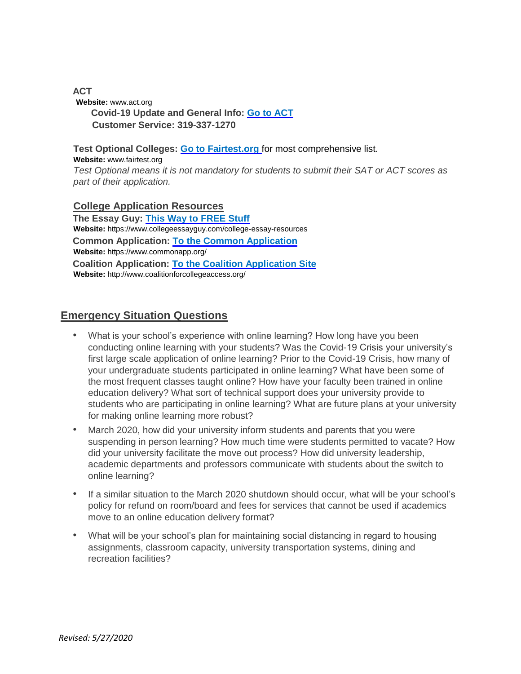#### **ACT Website:** [www.act.org](http://www.act.org/)  **Covid-19 Update and General Info[:](https://www.act.org/) [Go to ACT](https://www.act.org/) Customer Service: 319-337-1270**

**Test Optional Colleges: [Go to Fairtest.org](https://fairtest.org/university/optional)** [for](https://fairtest.org/university/optional) most comprehensive list.

#### **Website:** [www.fairtest.org](http://www.fairtest.org/)

*Test Optional means it is not mandatory for students to submit their SAT or ACT scores as part of their application.* 

## **College Application Resources**

**The Essay Guy[:](https://www.collegeessayguy.com/college-essay-resources) [This Way to FREE Stuff](https://www.collegeessayguy.com/college-essay-resources) Website[:](https://www.collegeessayguy.com/college-essay-resources)** <https://www.collegeessayguy.com/college-essay-resources> **Common Application: [To the Common Application](https://www.commonapp.org/) Website[:](https://www.commonapp.org/)** <https://www.commonapp.org/> **Coalition Application: [To the Coalition Application Site](http://www.coalitionforcollegeaccess.org/) Website:** <http://www.coalitionforcollegeaccess.org/>

# **Emergency Situation Questions**

- What is your school's experience with online learning? How long have you been conducting online learning with your students? Was the Covid-19 Crisis your university's first large scale application of online learning? Prior to the Covid-19 Crisis, how many of your undergraduate students participated in online learning? What have been some of the most frequent classes taught online? How have your faculty been trained in online education delivery? What sort of technical support does your university provide to students who are participating in online learning? What are future plans at your university for making online learning more robust?
- March 2020, how did your university inform students and parents that you were suspending in person learning? How much time were students permitted to vacate? How did your university facilitate the move out process? How did university leadership, academic departments and professors communicate with students about the switch to online learning?
- If a similar situation to the March 2020 shutdown should occur, what will be your school's policy for refund on room/board and fees for services that cannot be used if academics move to an online education delivery format?
- What will be your school's plan for maintaining social distancing in regard to housing assignments, classroom capacity, university transportation systems, dining and recreation facilities?